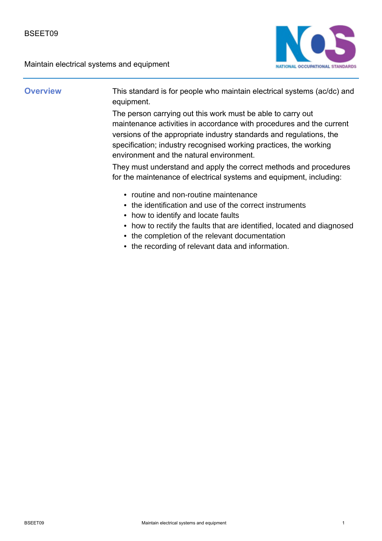

**Overview** This standard is for people who maintain electrical systems (ac/dc) and equipment.

> The person carrying out this work must be able to carry out maintenance activities in accordance with procedures and the current versions of the appropriate industry standards and regulations, the specification; industry recognised working practices, the working environment and the natural environment.

> They must understand and apply the correct methods and procedures for the maintenance of electrical systems and equipment, including:

- routine and non-routine maintenance
- the identification and use of the correct instruments
- how to identify and locate faults
- how to rectify the faults that are identified, located and diagnosed
- the completion of the relevant documentation
- the recording of relevant data and information.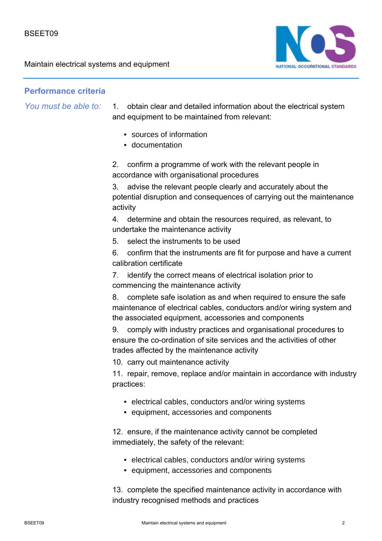

# **Performance criteria**

*You must be able to:*

1. obtain clear and detailed information about the electrical system and equipment to be maintained from relevant:

- sources of information
- documentation

2. confirm a programme of work with the relevant people in accordance with organisational procedures

3. advise the relevant people clearly and accurately about the potential disruption and consequences of carrying out the maintenance activity

4. determine and obtain the resources required, as relevant, to undertake the maintenance activity

5. select the instruments to be used

6. confirm that the instruments are fit for purpose and have a current calibration certificate

7. identify the correct means of electrical isolation prior to commencing the maintenance activity

8. complete safe isolation as and when required to ensure the safe maintenance of electrical cables, conductors and/or wiring system and the associated equipment, accessories and components

9. comply with industry practices and organisational procedures to ensure the co-ordination of site services and the activities of other trades affected by the maintenance activity

10. carry out maintenance activity

11. repair, remove, replace and/or maintain in accordance with industry practices:

- electrical cables, conductors and/or wiring systems
- equipment, accessories and components

12. ensure, if the maintenance activity cannot be completed immediately, the safety of the relevant:

- electrical cables, conductors and/or wiring systems
- equipment, accessories and components

13. complete the specified maintenance activity in accordance with industry recognised methods and practices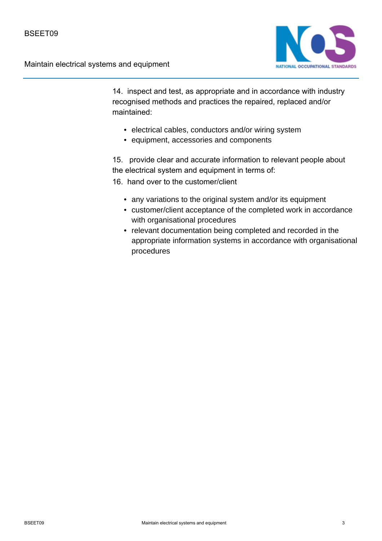

14. inspect and test, as appropriate and in accordance with industry recognised methods and practices the repaired, replaced and/or maintained:

- electrical cables, conductors and/or wiring system
- equipment, accessories and components

15. provide clear and accurate information to relevant people about the electrical system and equipment in terms of:

16. hand over to the customer/client

- any variations to the original system and/or its equipment
- customer/client acceptance of the completed work in accordance with organisational procedures
- relevant documentation being completed and recorded in the appropriate information systems in accordance with organisational procedures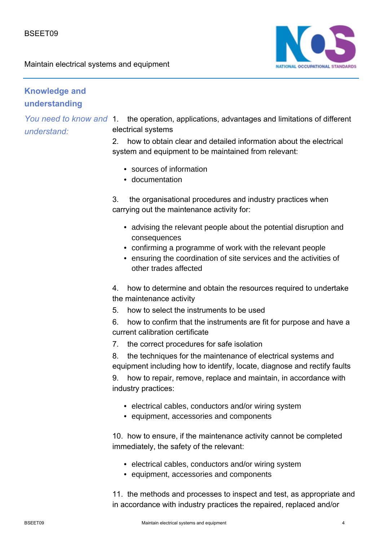

# **Knowledge and understanding**

*understand:*

You need to know and 1. the operation, applications, advantages and limitations of different electrical systems

> 2. how to obtain clear and detailed information about the electrical system and equipment to be maintained from relevant:

- sources of information
- documentation

3. the organisational procedures and industry practices when carrying out the maintenance activity for:

- advising the relevant people about the potential disruption and consequences
- confirming a programme of work with the relevant people
- ensuring the coordination of site services and the activities of other trades affected

4. how to determine and obtain the resources required to undertake the maintenance activity

5. how to select the instruments to be used

6. how to confirm that the instruments are fit for purpose and have a current calibration certificate

7. the correct procedures for safe isolation

8. the techniques for the maintenance of electrical systems and equipment including how to identify, locate, diagnose and rectify faults

9. how to repair, remove, replace and maintain, in accordance with industry practices:

- electrical cables, conductors and/or wiring system
- equipment, accessories and components

10. how to ensure, if the maintenance activity cannot be completed immediately, the safety of the relevant:

- electrical cables, conductors and/or wiring system
- equipment, accessories and components

11. the methods and processes to inspect and test, as appropriate and in accordance with industry practices the repaired, replaced and/or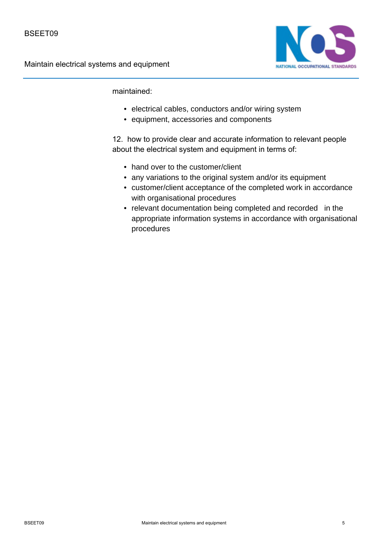

maintained:

- electrical cables, conductors and/or wiring system
- equipment, accessories and components

12. how to provide clear and accurate information to relevant people about the electrical system and equipment in terms of:

- hand over to the customer/client
- any variations to the original system and/or its equipment
- customer/client acceptance of the completed work in accordance with organisational procedures
- relevant documentation being completed and recorded in the appropriate information systems in accordance with organisational procedures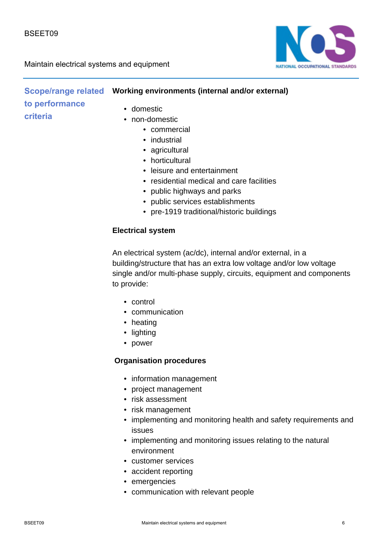



|                | Scope/range related  Working environments (internal and/or external) |
|----------------|----------------------------------------------------------------------|
| to performance | • domestic<br>• non-domestic                                         |
| criteria       |                                                                      |

- commercial
- industrial
- agricultural
- horticultural
- leisure and entertainment
- residential medical and care facilities
- public highways and parks
- public services establishments
- pre-1919 traditional/historic buildings

#### **Electrical system**

An electrical system (ac/dc), internal and/or external, in a building/structure that has an extra low voltage and/or low voltage single and/or multi-phase supply, circuits, equipment and components to provide:

- control
- communication
- heating
- lighting
- power

#### **Organisation procedures**

- information management
- project management
- risk assessment
- risk management
- implementing and monitoring health and safety requirements and issues
- implementing and monitoring issues relating to the natural environment
- customer services
- accident reporting
- emergencies
- communication with relevant people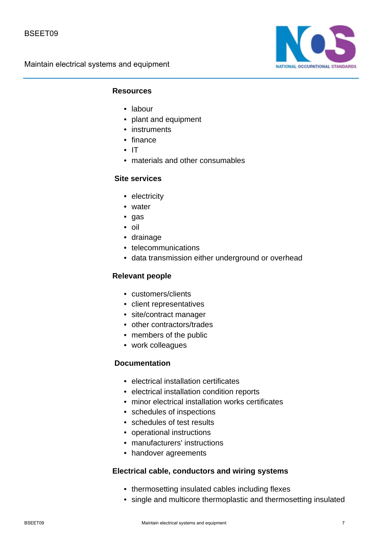

### **Resources**

- labour
- plant and equipment
- instruments
- finance
- IT
- materials and other consumables

#### **Site services**

- electricity
- water
- gas
- oil
- drainage
- telecommunications
- data transmission either underground or overhead

#### **Relevant people**

- customers/clients
- client representatives
- site/contract manager
- other contractors/trades
- members of the public
- work colleagues

#### **Documentation**

- electrical installation certificates
- electrical installation condition reports
- minor electrical installation works certificates
- schedules of inspections
- schedules of test results
- operational instructions
- manufacturers' instructions
- handover agreements

#### **Electrical cable, conductors and wiring systems**

- thermosetting insulated cables including flexes
- single and multicore thermoplastic and thermosetting insulated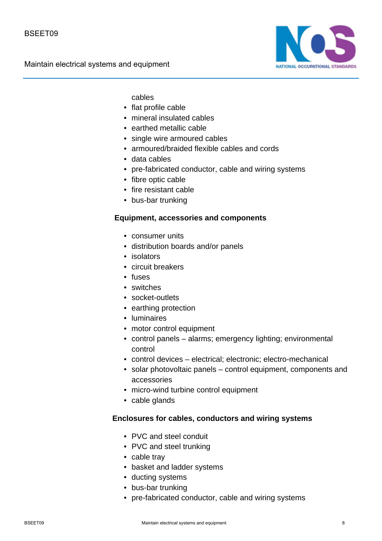

cables

- flat profile cable
- mineral insulated cables
- earthed metallic cable
- single wire armoured cables
- armoured/braided flexible cables and cords
- data cables
- pre-fabricated conductor, cable and wiring systems
- fibre optic cable
- fire resistant cable
- bus-bar trunking

### **Equipment, accessories and components**

- consumer units
- distribution boards and/or panels
- isolators
- circuit breakers
- fuses
- switches
- socket-outlets
- earthing protection
- luminaires
- motor control equipment
- control panels alarms; emergency lighting; environmental control
- control devices electrical; electronic; electro-mechanical
- solar photovoltaic panels control equipment, components and accessories
- micro-wind turbine control equipment
- cable glands

#### **Enclosures for cables, conductors and wiring systems**

- PVC and steel conduit
- PVC and steel trunking
- cable tray
- basket and ladder systems
- ducting systems
- bus-bar trunking
- pre-fabricated conductor, cable and wiring systems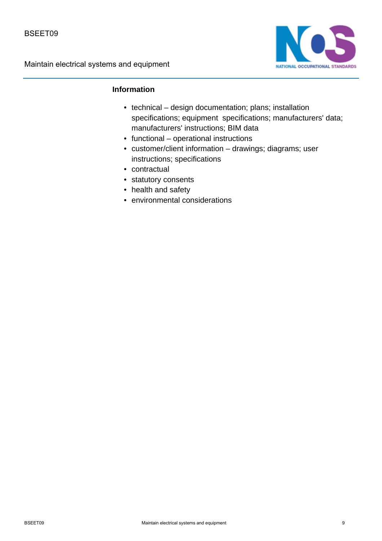

# **Information**

- technical design documentation; plans; installation specifications; equipment specifications; manufacturers' data; manufacturers' instructions; BIM data
- functional operational instructions
- customer/client information drawings; diagrams; user instructions; specifications
- contractual
- statutory consents
- health and safety
- environmental considerations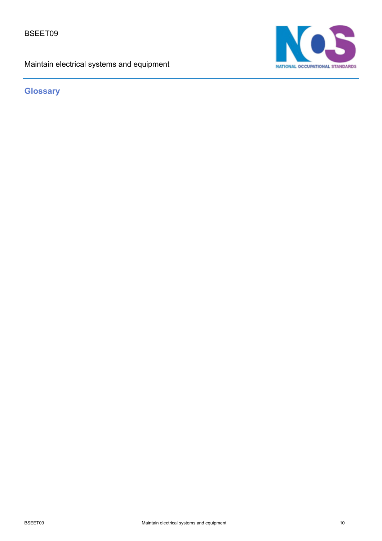BSEET09

Maintain electrical systems and equipment



**Glossary**